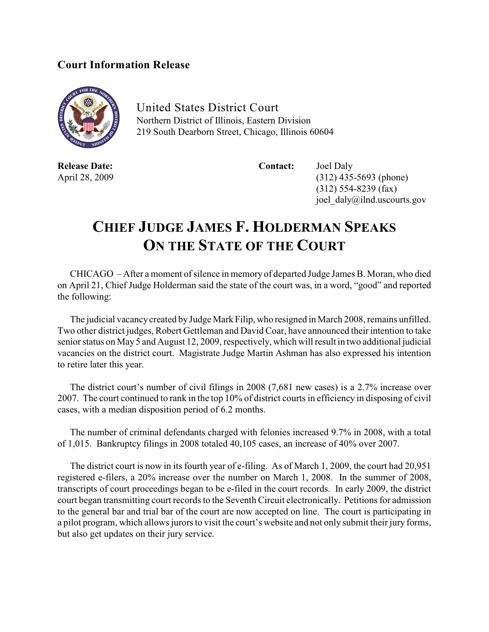## **Court Information Release**



United States District Court Northern District of Illinois, Eastern Division 219 South Dearborn Street, Chicago, Illinois 60604

**Release Date: Contact:** Joel Daly

April 28, 2009 (312) 435-5693 (phone) (312) 554-8239 (fax) joel\_daly@ilnd.uscourts.gov

## **CHIEF JUDGE JAMES F. HOLDERMAN SPEAKS ON THE STATE OF THE COURT**

CHICAGO – After a moment of silence in memory of departed Judge James B. Moran, who died on April 21, Chief Judge Holderman said the state of the court was, in a word, "good" and reported the following:

The judicial vacancy created by Judge Mark Filip, who resigned in March 2008, remains unfilled. Two other district judges, Robert Gettleman and David Coar, have announced their intention to take senior status on May 5 and August 12, 2009, respectively, which will result in two additional judicial vacancies on the district court. Magistrate Judge Martin Ashman has also expressed his intention to retire later this year.

The district court's number of civil filings in 2008 (7,681 new cases) is a 2.7% increase over 2007. The court continued to rank in the top 10% of district courts in efficiency in disposing of civil cases, with a median disposition period of 6.2 months.

The number of criminal defendants charged with felonies increased 9.7% in 2008, with a total of 1,015. Bankruptcy filings in 2008 totaled 40,105 cases, an increase of 40% over 2007.

The district court is now in its fourth year of e-filing. As of March 1, 2009, the court had 20,951 registered e-filers, a 20% increase over the number on March 1, 2008. In the summer of 2008, transcripts of court proceedings began to be e-filed in the court records. In early 2009, the district court began transmitting court records to the Seventh Circuit electronically. Petitions for admission to the general bar and trial bar of the court are now accepted on line. The court is participating in a pilot program, which allows jurors to visit the court's website and not only submit their jury forms, but also get updates on their jury service.